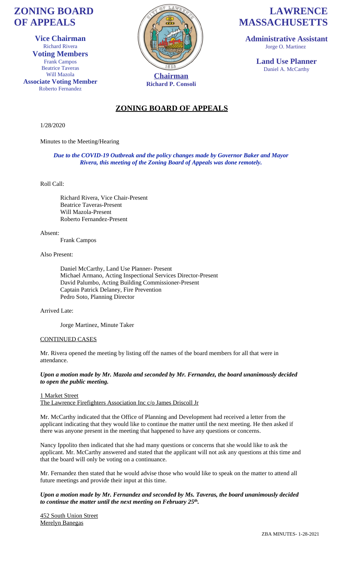# **ZONING BOARD OF APPEALS**

**Vice Chairman** Richard Rivera **Voting Members** Frank Campos Beatrice Taveras Will Mazola **Associate Voting Member** Roberto Fernandez



**Richard P. Consoli**

# **LAWRENCE MASSACHUSETTS**

**Administrative Assistant** Jorge O. Martinez

> **Land Use Planner** Daniel A. McCarthy

# **ZONING BOARD OF APPEALS**

1/28/2020

Minutes to the Meeting/Hearing

*Due to the COVID-19 Outbreak and the policy changes made by Governor Baker and Mayor Rivera, this meeting of the Zoning Board of Appeals was done remotely.*

### Roll Call:

Richard Rivera, Vice Chair-Present Beatrice Taveras-Present Will Mazola-Present Roberto Fernandez-Present

Absent:

Frank Campos

### Also Present:

Daniel McCarthy, Land Use Planner- Present Michael Armano, Acting Inspectional Services Director-Present David Palumbo, Acting Building Commissioner-Present Captain Patrick Delaney, Fire Prevention Pedro Soto, Planning Director

### Arrived Late:

Jorge Martinez, Minute Taker

### CONTINUED CASES

Mr. Rivera opened the meeting by listing off the names of the board members for all that were in attendance.

*Upon a motion made by Mr. Mazola and seconded by Mr. Fernandez, the board unanimously decided to open the public meeting.* 

1 Market Street The Lawrence Firefighters Association Inc c/o James Driscoll Jr

Mr. McCarthy indicated that the Office of Planning and Development had received a letter from the applicant indicating that they would like to continue the matter until the next meeting. He then asked if there was anyone present in the meeting that happened to have any questions or concerns.

Nancy Ippolito then indicated that she had many questions or concerns that she would like to ask the applicant. Mr. McCarthy answered and stated that the applicant will not ask any questions at this time and that the board will only be voting on a continuance.

Mr. Fernandez then stated that he would advise those who would like to speak on the matter to attend all future meetings and provide their input at this time.

### *Upon a motion made by Mr. Fernandez and seconded by Ms. Taveras, the board unanimously decided to continue the matter until the next meeting on February 25th .*

452 South Union Street Merelyn Banegas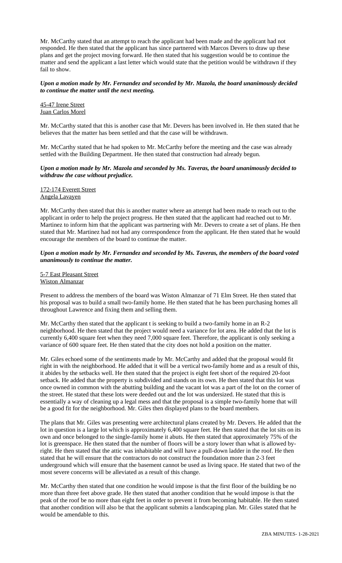Mr. McCarthy stated that an attempt to reach the applicant had been made and the applicant had not responded. He then stated that the applicant has since partnered with Marcos Devers to draw up these plans and get the project moving forward. He then stated that his suggestion would be to continue the matter and send the applicant a last letter which would state that the petition would be withdrawn if they fail to show.

### *Upon a motion made by Mr. Fernandez and seconded by Mr. Mazola, the board unanimously decided to continue the matter until the next meeting.*

## 45-47 Irene Street Juan Carlos Morel

Mr. McCarthy stated that this is another case that Mr. Devers has been involved in. He then stated that he believes that the matter has been settled and that the case will be withdrawn.

Mr. McCarthy stated that he had spoken to Mr. McCarthy before the meeting and the case was already settled with the Building Department. He then stated that construction had already begun.

#### *Upon a motion made by Mr. Mazola and seconded by Ms. Taveras, the board unanimously decided to withdraw the case without prejudice.*

172-174 Everett Street Angela Lavayen

Mr. McCarthy then stated that this is another matter where an attempt had been made to reach out to the applicant in order to help the project progress. He then stated that the applicant had reached out to Mr. Martinez to inform him that the applicant was partnering with Mr. Devers to create a set of plans. He then stated that Mr. Martinez had not had any correspondence from the applicant. He then stated that he would encourage the members of the board to continue the matter.

### *Upon a motion made by Mr. Fernandez and seconded by Ms. Taveras, the members of the board voted unanimously to continue the matter.*

5-7 East Pleasant Street Wiston Almanzar

Present to address the members of the board was Wiston Almanzar of 71 Elm Street. He then stated that his proposal was to build a small two-family home. He then stated that he has been purchasing homes all throughout Lawrence and fixing them and selling them.

Mr. McCarthy then stated that the applicant t is seeking to build a two-family home in an R-2 neighborhood. He then stated that the project would need a variance for lot area. He added that the lot is currently 6,400 square feet when they need 7,000 square feet. Therefore, the applicant is only seeking a variance of 600 square feet. He then stated that the city does not hold a position on the matter.

Mr. Giles echoed some of the sentiments made by Mr. McCarthy and added that the proposal would fit right in with the neighborhood. He added that it will be a vertical two-family home and as a result of this, it abides by the setbacks well. He then stated that the project is eight feet short of the required 20-foot setback. He added that the property is subdivided and stands on its own. He then stated that this lot was once owned in common with the abutting building and the vacant lot was a part of the lot on the corner of the street. He stated that these lots were deeded out and the lot was undersized. He stated that this is essentially a way of cleaning up a legal mess and that the proposal is a simple two-family home that will be a good fit for the neighborhood. Mr. Giles then displayed plans to the board members.

The plans that Mr. Giles was presenting were architectural plans created by Mr. Devers. He added that the lot in question is a large lot which is approximately 6,400 square feet. He then stated that the lot sits on its own and once belonged to the single-family home it abuts. He then stated that approximately 75% of the lot is greenspace. He then stated that the number of floors will be a story lower than what is allowed byright. He then stated that the attic was inhabitable and will have a pull-down ladder in the roof. He then stated that he will ensure that the contractors do not construct the foundation more than 2-3 feet underground which will ensure that the basement cannot be used as living space. He stated that two of the most severe concerns will be alleviated as a result of this change.

Mr. McCarthy then stated that one condition he would impose is that the first floor of the building be no more than three feet above grade. He then stated that another condition that he would impose is that the peak of the roof be no more than eight feet in order to prevent it from becoming habitable. He then stated that another condition will also be that the applicant submits a landscaping plan. Mr. Giles stated that he would be amendable to this.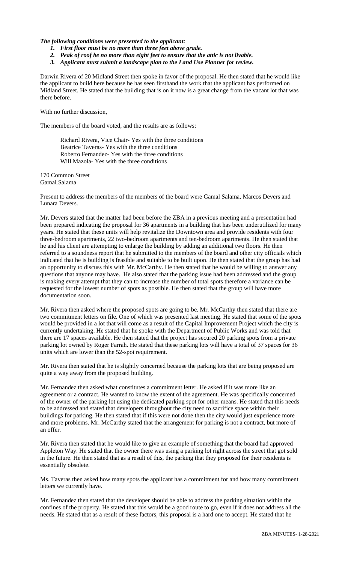*The following conditions were presented to the applicant:*

- *1. First floor must be no more than three feet above grade.*
- *2. Peak of roof be no more than eight feet to ensure that the attic is not livable.*
- *3. Applicant must submit a landscape plan to the Land Use Planner for review.*

Darwin Rivera of 20 Midland Street then spoke in favor of the proposal. He then stated that he would like the applicant to build here because he has seen firsthand the work that the applicant has performed on Midland Street. He stated that the building that is on it now is a great change from the vacant lot that was there before.

With no further discussion,

The members of the board voted, and the results are as follows:

Richard Rivera, Vice Chair- Yes with the three conditions Beatrice Taveras- Yes with the three conditions Roberto Fernandez- Yes with the three conditions Will Mazola- Yes with the three conditions

170 Common Street Gamal Salama

Present to address the members of the members of the board were Gamal Salama, Marcos Devers and Lunara Devers.

Mr. Devers stated that the matter had been before the ZBA in a previous meeting and a presentation had been prepared indicating the proposal for 36 apartments in a building that has been underutilized for many years. He stated that these units will help revitalize the Downtown area and provide residents with four three-bedroom apartments, 22 two-bedroom apartments and ten-bedroom apartments. He then stated that he and his client are attempting to enlarge the building by adding an additional two floors. He then referred to a soundness report that he submitted to the members of the board and other city officials which indicated that he is building is feasible and suitable to be built upon. He then stated that the group has had an opportunity to discuss this with Mr. McCarthy. He then stated that he would be willing to answer any questions that anyone may have. He also stated that the parking issue had been addressed and the group is making every attempt that they can to increase the number of total spots therefore a variance can be requested for the lowest number of spots as possible. He then stated that the group will have more documentation soon.

Mr. Rivera then asked where the proposed spots are going to be. Mr. McCarthy then stated that there are two commitment letters on file. One of which was presented last meeting. He stated that some of the spots would be provided in a lot that will come as a result of the Capital Improvement Project which the city is currently undertaking. He stated that he spoke with the Department of Public Works and was told that there are 17 spaces available. He then stated that the project has secured 20 parking spots from a private parking lot owned by Roger Farrah. He stated that these parking lots will have a total of 37 spaces for 36 units which are lower than the 52-spot requirement.

Mr. Rivera then stated that he is slightly concerned because the parking lots that are being proposed are quite a way away from the proposed building.

Mr. Fernandez then asked what constitutes a commitment letter. He asked if it was more like an agreement or a contract. He wanted to know the extent of the agreement. He was specifically concerned of the owner of the parking lot using the dedicated parking spot for other means. He stated that this needs to be addressed and stated that developers throughout the city need to sacrifice space within their buildings for parking. He then stated that if this were not done then the city would just experience more and more problems. Mr. McCarthy stated that the arrangement for parking is not a contract, but more of an offer.

Mr. Rivera then stated that he would like to give an example of something that the board had approved Appleton Way. He stated that the owner there was using a parking lot right across the street that got sold in the future. He then stated that as a result of this, the parking that they proposed for their residents is essentially obsolete.

Ms. Taveras then asked how many spots the applicant has a commitment for and how many commitment letters we currently have.

Mr. Fernandez then stated that the developer should be able to address the parking situation within the confines of the property. He stated that this would be a good route to go, even if it does not address all the needs. He stated that as a result of these factors, this proposal is a hard one to accept. He stated that he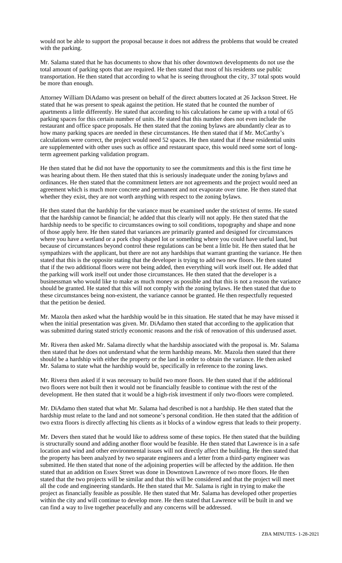would not be able to support the proposal because it does not address the problems that would be created with the parking.

Mr. Salama stated that he has documents to show that his other downtown developments do not use the total amount of parking spots that are required. He then stated that most of his residents use public transportation. He then stated that according to what he is seeing throughout the city, 37 total spots would be more than enough.

Attorney William DiAdamo was present on behalf of the direct abutters located at 26 Jackson Street. He stated that he was present to speak against the petition. He stated that he counted the number of apartments a little differently. He stated that according to his calculations he came up with a total of 65 parking spaces for this certain number of units. He stated that this number does not even include the restaurant and office space proposals. He then stated that the zoning bylaws are abundantly clear as to how many parking spaces are needed in these circumstances. He then stated that if Mr. McCarthy's calculations were correct, the project would need 52 spaces. He then stated that if these residential units are supplemented with other uses such as office and restaurant space, this would need some sort of longterm agreement parking validation program.

He then stated that he did not have the opportunity to see the commitments and this is the first time he was hearing about them. He then stated that this is seriously inadequate under the zoning bylaws and ordinances. He then stated that the commitment letters are not agreements and the project would need an agreement which is much more concrete and permanent and not evaporate over time. He then stated that whether they exist, they are not worth anything with respect to the zoning bylaws.

He then stated that the hardship for the variance must be examined under the strictest of terms. He stated that the hardship cannot be financial; he added that this clearly will not apply. He then stated that the hardship needs to be specific to circumstances owing to soil conditions, topography and shape and none of those apply here. He then stated that variances are primarily granted and designed for circumstances where you have a wetland or a pork chop shaped lot or something where you could have useful land, but because of circumstances beyond control these regulations can be bent a little bit. He then stated that he sympathizes with the applicant, but there are not any hardships that warrant granting the variance. He then stated that this is the opposite stating that the developer is trying to add two new floors. He then stated that if the two additional floors were not being added, then everything will work itself out. He added that the parking will work itself out under those circumstances. He then stated that the developer is a businessman who would like to make as much money as possible and that this is not a reason the variance should be granted. He stated that this will not comply with the zoning bylaws. He then stated that due to these circumstances being non-existent, the variance cannot be granted. He then respectfully requested that the petition be denied.

Mr. Mazola then asked what the hardship would be in this situation. He stated that he may have missed it when the initial presentation was given. Mr. DiAdamo then stated that according to the application that was submitted during stated strictly economic reasons and the risk of renovation of this underused asset.

Mr. Rivera then asked Mr. Salama directly what the hardship associated with the proposal is. Mr. Salama then stated that he does not understand what the term hardship means. Mr. Mazola then stated that there should be a hardship with either the property or the land in order to obtain the variance. He then asked Mr. Salama to state what the hardship would be, specifically in reference to the zoning laws.

Mr. Rivera then asked if it was necessary to build two more floors. He then stated that if the additional two floors were not built then it would not be financially feasible to continue with the rest of the development. He then stated that it would be a high-risk investment if only two-floors were completed.

Mr. DiAdamo then stated that what Mr. Salama had described is not a hardship. He then stated that the hardship must relate to the land and not someone's personal condition. He then stated that the addition of two extra floors is directly affecting his clients as it blocks of a window egress that leads to their property.

Mr. Devers then stated that he would like to address some of these topics. He then stated that the building is structurally sound and adding another floor would be feasible. He then stated that Lawrence is in a safe location and wind and other environmental issues will not directly affect the building. He then stated that the property has been analyzed by two separate engineers and a letter from a third-party engineer was submitted. He then stated that none of the adjoining properties will be affected by the addition. He then stated that an addition on Essex Street was done in Downtown Lawrence of two more floors. He then stated that the two projects will be similar and that this will be considered and that the project will meet all the code and engineering standards. He then stated that Mr. Salama is right in trying to make the project as financially feasible as possible. He then stated that Mr. Salama has developed other properties within the city and will continue to develop more. He then stated that Lawrence will be built in and we can find a way to live together peacefully and any concerns will be addressed.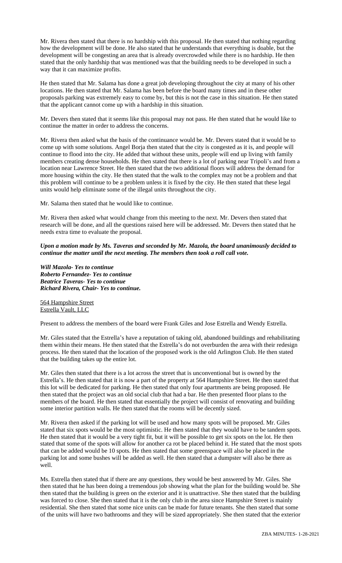Mr. Rivera then stated that there is no hardship with this proposal. He then stated that nothing regarding how the development will be done. He also stated that he understands that everything is doable, but the development will be congesting an area that is already overcrowded while there is no hardship. He then stated that the only hardship that was mentioned was that the building needs to be developed in such a way that it can maximize profits.

He then stated that Mr. Salama has done a great job developing throughout the city at many of his other locations. He then stated that Mr. Salama has been before the board many times and in these other proposals parking was extremely easy to come by, but this is not the case in this situation. He then stated that the applicant cannot come up with a hardship in this situation.

Mr. Devers then stated that it seems like this proposal may not pass. He then stated that he would like to continue the matter in order to address the concerns.

Mr. Rivera then asked what the basis of the continuance would be. Mr. Devers stated that it would be to come up with some solutions. Angel Borja then stated that the city is congested as it is, and people will continue to flood into the city. He added that without these units, people will end up living with family members creating dense households. He then stated that there is a lot of parking near Tripoli's and from a location near Lawrence Street. He then stated that the two additional floors will address the demand for more housing within the city. He then stated that the walk to the complex may not be a problem and that this problem will continue to be a problem unless it is fixed by the city. He then stated that these legal units would help eliminate some of the illegal units throughout the city.

Mr. Salama then stated that he would like to continue.

Mr. Rivera then asked what would change from this meeting to the next. Mr. Devers then stated that research will be done, and all the questions raised here will be addressed. Mr. Devers then stated that he needs extra time to evaluate the proposal.

*Upon a motion made by Ms. Taveras and seconded by Mr. Mazola, the board unanimously decided to continue the matter until the next meeting. The members then took a roll call vote.* 

*Will Mazola- Yes to continue Roberto Fernandez- Yes to continue Beatrice Taveras- Yes to continue Richard Rivera, Chair- Yes to continue.*

564 Hampshire Street Estrella Vault, LLC

Present to address the members of the board were Frank Giles and Jose Estrella and Wendy Estrella.

Mr. Giles stated that the Estrella's have a reputation of taking old, abandoned buildings and rehabilitating them within their means. He then stated that the Estrella's do not overburden the area with their redesign process. He then stated that the location of the proposed work is the old Arlington Club. He then stated that the building takes up the entire lot.

Mr. Giles then stated that there is a lot across the street that is unconventional but is owned by the Estrella's. He then stated that it is now a part of the property at 564 Hampshire Street. He then stated that this lot will be dedicated for parking. He then stated that only four apartments are being proposed. He then stated that the project was an old social club that had a bar. He then presented floor plans to the members of the board. He then stated that essentially the project will consist of renovating and building some interior partition walls. He then stated that the rooms will be decently sized.

Mr. Rivera then asked if the parking lot will be used and how many spots will be proposed. Mr. Giles stated that six spots would be the most optimistic. He then stated that they would have to be tandem spots. He then stated that it would be a very tight fit, but it will be possible to get six spots on the lot. He then stated that some of the spots will allow for another ca rot be placed behind it. He stated that the most spots that can be added would be 10 spots. He then stated that some greenspace will also be placed in the parking lot and some bushes will be added as well. He then stated that a dumpster will also be there as well.

Ms. Estrella then stated that if there are any questions, they would be best answered by Mr. Giles. She then stated that he has been doing a tremendous job showing what the plan for the building would be. She then stated that the building is green on the exterior and it is unattractive. She then stated that the building was forced to close. She then stated that it is the only club in the area since Hampshire Street is mainly residential. She then stated that some nice units can be made for future tenants. She then stated that some of the units will have two bathrooms and they will be sized appropriately. She then stated that the exterior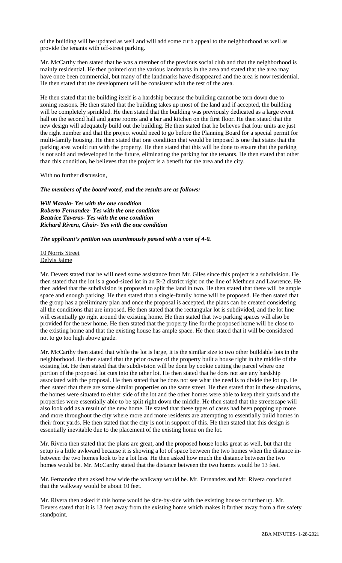of the building will be updated as well and will add some curb appeal to the neighborhood as well as provide the tenants with off-street parking.

Mr. McCarthy then stated that he was a member of the previous social club and that the neighborhood is mainly residential. He then pointed out the various landmarks in the area and stated that the area may have once been commercial, but many of the landmarks have disappeared and the area is now residential. He then stated that the development will be consistent with the rest of the area.

He then stated that the building itself is a hardship because the building cannot be torn down due to zoning reasons. He then stated that the building takes up most of the land and if accepted, the building will be completely sprinkled. He then stated that the building was previously dedicated as a large event hall on the second hall and game rooms and a bar and kitchen on the first floor. He then stated that the new design will adequately build out the building. He then stated that he believes that four units are just the right number and that the project would need to go before the Planning Board for a special permit for multi-family housing. He then stated that one condition that would be imposed is one that states that the parking area would run with the property. He then stated that this will be done to ensure that the parking is not sold and redeveloped in the future, eliminating the parking for the tenants. He then stated that other than this condition, he believes that the project is a benefit for the area and the city.

With no further discussion,

*The members of the board voted, and the results are as follows:*

*Will Mazola- Yes with the one condition Roberto Fernandez- Yes with the one condition Beatrice Taveras- Yes with the one condition Richard Rivera, Chair- Yes with the one condition*

*The applicant's petition was unanimously passed with a vote of 4-0.*

10 Norris Street Delvis Jaime

Mr. Devers stated that he will need some assistance from Mr. Giles since this project is a subdivision. He then stated that the lot is a good-sized lot in an R-2 district right on the line of Methuen and Lawrence. He then added that the subdivision is proposed to split the land in two. He then stated that there will be ample space and enough parking. He then stated that a single-family home will be proposed. He then stated that the group has a preliminary plan and once the proposal is accepted, the plans can be created considering all the conditions that are imposed. He then stated that the rectangular lot is subdivided, and the lot line will essentially go right around the existing home. He then stated that two parking spaces will also be provided for the new home. He then stated that the property line for the proposed home will be close to the existing home and that the existing house has ample space. He then stated that it will be considered not to go too high above grade.

Mr. McCarthy then stated that while the lot is large, it is the similar size to two other buildable lots in the neighborhood. He then stated that the prior owner of the property built a house right in the middle of the existing lot. He then stated that the subdivision will be done by cookie cutting the parcel where one portion of the proposed lot cuts into the other lot. He then stated that he does not see any hardship associated with the proposal. He then stated that he does not see what the need is to divide the lot up. He then stated that there are some similar properties on the same street. He then stated that in these situations, the homes were situated to either side of the lot and the other homes were able to keep their yards and the properties were essentially able to be split right down the middle. He then stated that the streetscape will also look odd as a result of the new home. He stated that these types of cases had been popping up more and more throughout the city where more and more residents are attempting to essentially build homes in their front yards. He then stated that the city is not in support of this. He then stated that this design is essentially inevitable due to the placement of the existing home on the lot.

Mr. Rivera then stated that the plans are great, and the proposed house looks great as well, but that the setup is a little awkward because it is showing a lot of space between the two homes when the distance inbetween the two homes look to be a lot less. He then asked how much the distance between the two homes would be. Mr. McCarthy stated that the distance between the two homes would be 13 feet.

Mr. Fernandez then asked how wide the walkway would be. Mr. Fernandez and Mr. Rivera concluded that the walkway would be about 10 feet.

Mr. Rivera then asked if this home would be side-by-side with the existing house or further up. Mr. Devers stated that it is 13 feet away from the existing home which makes it farther away from a fire safety standpoint.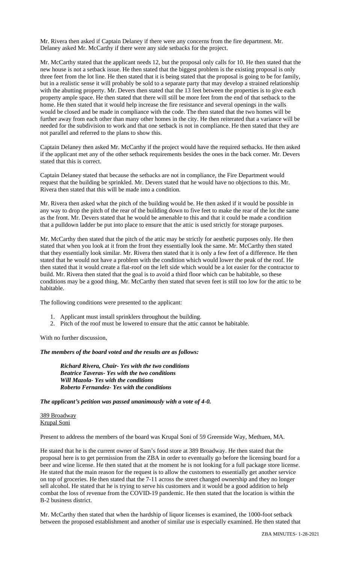Mr. Rivera then asked if Captain Delaney if there were any concerns from the fire department. Mr. Delaney asked Mr. McCarthy if there were any side setbacks for the project.

Mr. McCarthy stated that the applicant needs 12, but the proposal only calls for 10. He then stated that the new house is not a setback issue. He then stated that the biggest problem is the existing proposal is only three feet from the lot line. He then stated that it is being stated that the proposal is going to be for family, but in a realistic sense it will probably be sold to a separate party that may develop a strained relationship with the abutting property. Mr. Devers then stated that the 13 feet between the properties is to give each property ample space. He then stated that there will still be more feet from the end of that setback to the home. He then stated that it would help increase the fire resistance and several openings in the walls would be closed and be made in compliance with the code. The then stated that the two homes will be further away from each other than many other homes in the city. He then reiterated that a variance will be needed for the subdivision to work and that one setback is not in compliance. He then stated that they are not parallel and referred to the plans to show this.

Captain Delaney then asked Mr. McCarthy if the project would have the required setbacks. He then asked if the applicant met any of the other setback requirements besides the ones in the back corner. Mr. Devers stated that this is correct.

Captain Delaney stated that because the setbacks are not in compliance, the Fire Department would request that the building be sprinkled. Mr. Devers stated that he would have no objections to this. Mr. Rivera then stated that this will be made into a condition.

Mr. Rivera then asked what the pitch of the building would be. He then asked if it would be possible in any way to drop the pitch of the rear of the building down to five feet to make the rear of the lot the same as the front. Mr. Devers stated that he would be amenable to this and that it could be made a condition that a pulldown ladder be put into place to ensure that the attic is used strictly for storage purposes.

Mr. McCarthy then stated that the pitch of the attic may be strictly for aesthetic purposes only. He then stated that when you look at it from the front they essentially look the same. Mr. McCarthy then stated that they essentially look similar. Mr. Rivera then stated that it is only a few feet of a difference. He then stated that he would not have a problem with the condition which would lower the peak of the roof. He then stated that it would create a flat-roof on the left side which would be a lot easier for the contractor to build. Mr. Rivera then stated that the goal is to avoid a third floor which can be habitable, so these conditions may be a good thing. Mr. McCarthy then stated that seven feet is still too low for the attic to be habitable.

The following conditions were presented to the applicant:

- 1. Applicant must install sprinklers throughout the building.
- 2. Pitch of the roof must be lowered to ensure that the attic cannot be habitable.

With no further discussion,

*The members of the board voted and the results are as follows:*

*Richard Rivera, Chair- Yes with the two conditions Beatrice Taveras- Yes with the two conditions Will Mazola- Yes with the conditions Roberto Fernandez- Yes with the conditions*

*The applicant's petition was passed unanimously with a vote of 4-0.*

389 Broadway Krupal Soni

Present to address the members of the board was Krupal Soni of 59 Greenside Way, Methuen, MA.

He stated that he is the current owner of Sam's food store at 389 Broadway. He then stated that the proposal here is to get permission from the ZBA in order to eventually go before the licensing board for a beer and wine license. He then stated that at the moment he is not looking for a full package store license. He stated that the main reason for the request is to allow the customers to essentially get another service on top of groceries. He then stated that the 7-11 across the street changed ownership and they no longer sell alcohol. He stated that he is trying to serve his customers and it would be a good addition to help combat the loss of revenue from the COVID-19 pandemic. He then stated that the location is within the B-2 business district.

Mr. McCarthy then stated that when the hardship of liquor licenses is examined, the 1000-foot setback between the proposed establishment and another of similar use is especially examined. He then stated that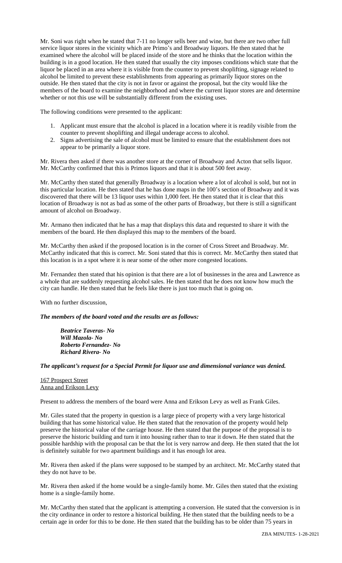Mr. Soni was right when he stated that 7-11 no longer sells beer and wine, but there are two other full service liquor stores in the vicinity which are Primo's and Broadway liquors. He then stated that he examined where the alcohol will be placed inside of the store and he thinks that the location within the building is in a good location. He then stated that usually the city imposes conditions which state that the liquor be placed in an area where it is visible from the counter to prevent shoplifting, signage related to alcohol be limited to prevent these establishments from appearing as primarily liquor stores on the outside. He then stated that the city is not in favor or against the proposal, but the city would like the members of the board to examine the neighborhood and where the current liquor stores are and determine whether or not this use will be substantially different from the existing uses.

The following conditions were presented to the applicant:

- 1. Applicant must ensure that the alcohol is placed in a location where it is readily visible from the counter to prevent shoplifting and illegal underage access to alcohol.
- 2. Signs advertising the sale of alcohol must be limited to ensure that the establishment does not appear to be primarily a liquor store.

Mr. Rivera then asked if there was another store at the corner of Broadway and Acton that sells liquor. Mr. McCarthy confirmed that this is Primos liquors and that it is about 500 feet away.

Mr. McCarthy then stated that generally Broadway is a location where a lot of alcohol is sold, but not in this particular location. He then stated that he has done maps in the 100's section of Broadway and it was discovered that there will be 13 liquor uses within 1,000 feet. He then stated that it is clear that this location of Broadway is not as bad as some of the other parts of Broadway, but there is still a significant amount of alcohol on Broadway.

Mr. Armano then indicated that he has a map that displays this data and requested to share it with the members of the board. He then displayed this map to the members of the board.

Mr. McCarthy then asked if the proposed location is in the corner of Cross Street and Broadway. Mr. McCarthy indicated that this is correct. Mr. Soni stated that this is correct. Mr. McCarthy then stated that this location is in a spot where it is near some of the other more congested locations.

Mr. Fernandez then stated that his opinion is that there are a lot of businesses in the area and Lawrence as a whole that are suddenly requesting alcohol sales. He then stated that he does not know how much the city can handle. He then stated that he feels like there is just too much that is going on.

With no further discussion,

*The members of the board voted and the results are as follows:*

*Beatrice Taveras- No Will Mazola- No Roberto Fernandez- No Richard Rivera- No*

*The applicant's request for a Special Permit for liquor use and dimensional variance was denied.*

167 Prospect Street Anna and Erikson Levy

Present to address the members of the board were Anna and Erikson Levy as well as Frank Giles.

Mr. Giles stated that the property in question is a large piece of property with a very large historical building that has some historical value. He then stated that the renovation of the property would help preserve the historical value of the carriage house. He then stated that the purpose of the proposal is to preserve the historic building and turn it into housing rather than to tear it down. He then stated that the possible hardship with the proposal can be that the lot is very narrow and deep. He then stated that the lot is definitely suitable for two apartment buildings and it has enough lot area.

Mr. Rivera then asked if the plans were supposed to be stamped by an architect. Mr. McCarthy stated that they do not have to be.

Mr. Rivera then asked if the home would be a single-family home. Mr. Giles then stated that the existing home is a single-family home.

Mr. McCarthy then stated that the applicant is attempting a conversion. He stated that the conversion is in the city ordinance in order to restore a historical building. He then stated that the building needs to be a certain age in order for this to be done. He then stated that the building has to be older than 75 years in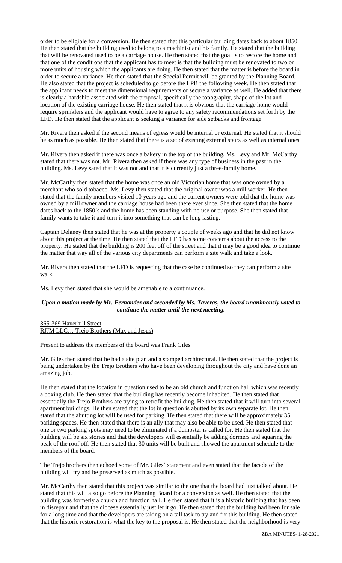order to be eligible for a conversion. He then stated that this particular building dates back to about 1850. He then stated that the building used to belong to a machinist and his family. He stated that the building that will be renovated used to be a carriage house. He then stated that the goal is to restore the home and that one of the conditions that the applicant has to meet is that the building must be renovated to two or more units of housing which the applicants are doing. He then stated that the matter is before the board in order to secure a variance. He then stated that the Special Permit will be granted by the Planning Board. He also stated that the project is scheduled to go before the LPB the following week. He then stated that the applicant needs to meet the dimensional requirements or secure a variance as well. He added that there is clearly a hardship associated with the proposal, specifically the topography, shape of the lot and location of the existing carriage house. He then stated that it is obvious that the carriage home would require sprinklers and the applicant would have to agree to any safety recommendations set forth by the LFD. He then stated that the applicant is seeking a variance for side setbacks and frontage.

Mr. Rivera then asked if the second means of egress would be internal or external. He stated that it should be as much as possible. He then stated that there is a set of existing external stairs as well as internal ones.

Mr. Rivera then asked if there was once a bakery in the top of the building. Ms. Levy and Mr. McCarthy stated that there was not. Mr. Rivera then asked if there was any type of business in the past in the building. Ms. Levy sated that it was not and that it is currently just a three-family home.

Mr. McCarthy then stated that the home was once an old Victorian home that was once owned by a merchant who sold tobacco. Ms. Levy then stated that the original owner was a mill worker. He then stated that the family members visited 10 years ago and the current owners were told that the home was owned by a mill owner and the carriage house had been there ever since. She then stated that the home dates back to the 1850's and the home has been standing with no use or purpose. She then stated that family wants to take it and turn it into something that can be long lasting.

Captain Delaney then stated that he was at the property a couple of weeks ago and that he did not know about this project at the time. He then stated that the LFD has some concerns about the access to the property. He stated that the building is 200 feet off of the street and that it may be a good idea to continue the matter that way all of the various city departments can perform a site walk and take a look.

Mr. Rivera then stated that the LFD is requesting that the case be continued so they can perform a site walk.

Ms. Levy then stated that she would be amenable to a continuance.

### *Upon a motion made by Mr. Fernandez and seconded by Ms. Taveras, the board unanimously voted to continue the matter until the next meeting.*

#### 365-369 Haverhill Street RJJM LLC… Trejo Brothers (Max and Jesus)

Present to address the members of the board was Frank Giles.

Mr. Giles then stated that he had a site plan and a stamped architectural. He then stated that the project is being undertaken by the Trejo Brothers who have been developing throughout the city and have done an amazing job.

He then stated that the location in question used to be an old church and function hall which was recently a boxing club. He then stated that the building has recently become inhabited. He then stated that essentially the Trejo Brothers are trying to retrofit the building. He then stated that it will turn into several apartment buildings. He then stated that the lot in question is abutted by its own separate lot. He then stated that the abutting lot will be used for parking. He then stated that there will be approximately 35 parking spaces. He then stated that there is an ally that may also be able to be used. He then stated that one or two parking spots may need to be eliminated if a dumpster is called for. He then stated that the building will be six stories and that the developers will essentially be adding dormers and squaring the peak of the roof off. He then stated that 30 units will be built and showed the apartment schedule to the members of the board.

The Trejo brothers then echoed some of Mr. Giles' statement and even stated that the facade of the building will try and be preserved as much as possible.

Mr. McCarthy then stated that this project was similar to the one that the board had just talked about. He stated that this will also go before the Planning Board for a conversion as well. He then stated that the building was formerly a church and function hall. He then stated that it is a historic building that has been in disrepair and that the diocese essentially just let it go. He then stated that the building had been for sale for a long time and that the developers are taking on a tall task to try and fix this building. He then stated that the historic restoration is what the key to the proposal is. He then stated that the neighborhood is very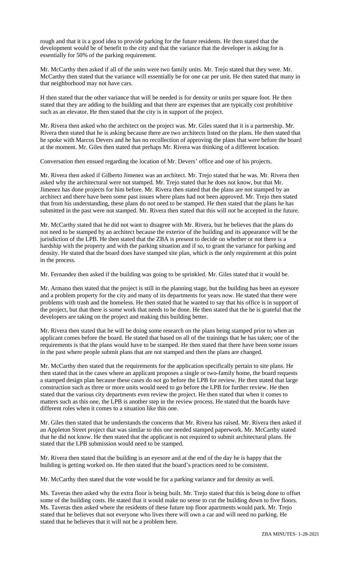rough and that it is a good idea to provide parking for the future residents. He then stated that the development would be of benefit to the city and that the variance that the developer is asking for is essentially for 50% of the parking requirement.

Mr. McCarthy then asked if all of the units were two family units. Mr. Trejo stated that they were. Mr. McCarthy then stated that the variance will essentially be for one car per unit. He then stated that many in that neighborhood may not have cars.

H then stated that the other variance that will be needed is for density or units per square foot. He then stated that they are adding to the building and that there are expenses that are typically cost prohibitive such as an elevator. He then stated that the city is in support of the project.

Mr. Rivera then asked who the architect on the project was. Mr. Giles stated that it is a partnership. Mr. Rivera then stated that he is asking because there are two architects listed on the plans. He then stated that he spoke with Marcos Devers and he has no recollection of approving the plans that were before the board at the moment. Mr. Giles then stated that perhaps Mr. Rivera was thinking of a different location.

Conversation then ensued regarding the location of Mr. Devers' office and one of his projects.

Mr. Rivera then asked if Gilberto Jimenez was an architect. Mr. Trejo stated that he was. Mr. Rivera then asked why the architectural were not stamped. Mr. Trejo stated that he does not know, but that Mr. Jimenez has done projects for him before. Mr. Rivera then stated that the plans are not stamped by an architect and there have been some past issues where plans had not been approved. Mr. Trejo then stated that from his understanding, these plans do not need to be stamped. He then stated that the plans he has submitted in the past were not stamped. Mr. Rivera then stated that this will not be accepted in the future.

Mr. McCarthy stated that he did not want to disagree with Mr. Rivera, but he believes that the plans do not need to be stamped by an architect because the exterior of the building and its appearance will be the jurisdiction of the LPB. He then stated that the ZBA is present to decide on whether or not there is a hardship with the property and with the parking situation and if so, to grant the variance for parking and density. He stated that the board does have stamped site plan, which is the only requirement at this point in the process.

Mr. Fernandez then asked if the building was going to be sprinkled. Mr. Giles stated that it would be.

Mr. Armano then stated that the project is still in the planning stage, but the building has been an eyesore and a problem property for the city and many of its departments for years now. He stated that there were problems with trash and the homeless. He then stated that he wanted to say that his office is in support of the project, but that there is some work that needs to be done. He then stated that the he is grateful that the developers are taking on the project and making this building better.

Mr. Rivera then stated that he will be doing some research on the plans being stamped prior to when an applicant comes before the board. He stated that based on all of the trainings that he has taken; one of the requirements is that the plans would have to be stamped. He then stated that there have been some issues in the past where people submit plans that are not stamped and then the plans are changed.

Mr. McCarthy then stated that the requirements for the application specifically pertain to site plans. He then stated that in the cases where an applicant proposes a single or two-family home, the board requests a stamped design plan because these cases do not go before the LPB for review. He then stated that large construction such as three or more units would need to go before the LPB for further review. He then stated that the various city departments even review the project. He then stated that when it comes to matters such as this one, the LPB is another step in the review process. He stated that the boards have different roles when it comes to a situation like this one.

Mr. Giles then stated that he understands the concerns that Mr. Rivera has raised. Mr. Rivera then asked if an Appleton Street project that was similar to this one needed stamped paperwork. Mr. McCarthy stated that he did not know. He then stated that the applicant is not required to submit architectural plans. He stated that the LPB submission would need to be stamped.

Mr. Rivera then stated that the building is an eyesore and at the end of the day he is happy that the building is getting worked on. He then stated that the board's practices need to be consistent.

Mr. McCarthy then stated that the vote would be for a parking variance and for density as well.

Ms. Taveras then asked why the extra floor is being built. Mr. Trejo stated that this is being done to offset some of the building costs. He stated that it would make no sense to cut the building down to five floors. Ms. Taveras then asked where the residents of these future top floor apartments would park. Mr. Trejo stated that he believes that not everyone who lives there will own a car and will need no parking. He stated that he believes that it will not be a problem here.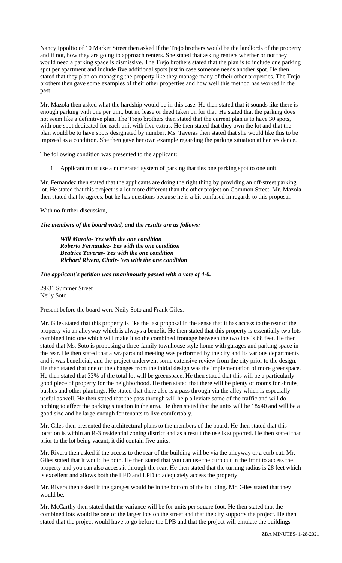Nancy Ippolito of 10 Market Street then asked if the Trejo brothers would be the landlords of the property and if not, how they are going to approach renters. She stated that asking renters whether or not they would need a parking space is dismissive. The Trejo brothers stated that the plan is to include one parking spot per apartment and include five additional spots just in case someone needs another spot. He then stated that they plan on managing the property like they manage many of their other properties. The Trejo brothers then gave some examples of their other properties and how well this method has worked in the past.

Mr. Mazola then asked what the hardship would be in this case. He then stated that it sounds like there is enough parking with one per unit, but no lease or deed taken on for that. He stated that the parking does not seem like a definitive plan. The Trejo brothers then stated that the current plan is to have 30 spots, with one spot dedicated for each unit with five extras. He then stated that they own the lot and that the plan would be to have spots designated by number. Ms. Taveras then stated that she would like this to be imposed as a condition. She then gave her own example regarding the parking situation at her residence.

The following condition was presented to the applicant:

1. Applicant must use a numerated system of parking that ties one parking spot to one unit.

Mr. Fernandez then stated that the applicants are doing the right thing by providing an off-street parking lot. He stated that this project is a lot more different than the other project on Common Street. Mr. Mazola then stated that he agrees, but he has questions because he is a bit confused in regards to this proposal.

With no further discussion,

*The members of the board voted, and the results are as follows:*

*Will Mazola- Yes with the one condition Roberto Fernandez- Yes with the one condition Beatrice Taveras- Yes with the one condition Richard Rivera, Chair- Yes with the one condition*

*The applicant's petition was unanimously passed with a vote of 4-0.*

29-31 Summer Street Neily Soto

Present before the board were Neily Soto and Frank Giles.

Mr. Giles stated that this property is like the last proposal in the sense that it has access to the rear of the property via an alleyway which is always a benefit. He then stated that this property is essentially two lots combined into one which will make it so the combined frontage between the two lots is 68 feet. He then stated that Ms. Soto is proposing a three-family townhouse style home with garages and parking space in the rear. He then stated that a wraparound meeting was performed by the city and its various departments and it was beneficial, and the project underwent some extensive review from the city prior to the design. He then stated that one of the changes from the initial design was the implementation of more greenspace. He then stated that 33% of the total lot will be greenspace. He then stated that this will be a particularly good piece of property for the neighborhood. He then stated that there will be plenty of rooms for shrubs, bushes and other plantings. He stated that there also is a pass through via the alley which is especially useful as well. He then stated that the pass through will help alleviate some of the traffic and will do nothing to affect the parking situation in the area. He then stated that the units will be 18x40 and will be a good size and be large enough for tenants to live comfortably.

Mr. Giles then presented the architectural plans to the members of the board. He then stated that this location is within an R-3 residential zoning district and as a result the use is supported. He then stated that prior to the lot being vacant, it did contain five units.

Mr. Rivera then asked if the access to the rear of the building will be via the alleyway or a curb cut. Mr. Giles stated that it would be both. He then stated that you can use the curb cut in the front to access the property and you can also access it through the rear. He then stated that the turning radius is 28 feet which is excellent and allows both the LFD and LPD to adequately access the property.

Mr. Rivera then asked if the garages would be in the bottom of the building. Mr. Giles stated that they would be.

Mr. McCarthy then stated that the variance will be for units per square foot. He then stated that the combined lots would be one of the larger lots on the street and that the city supports the project. He then stated that the project would have to go before the LPB and that the project will emulate the buildings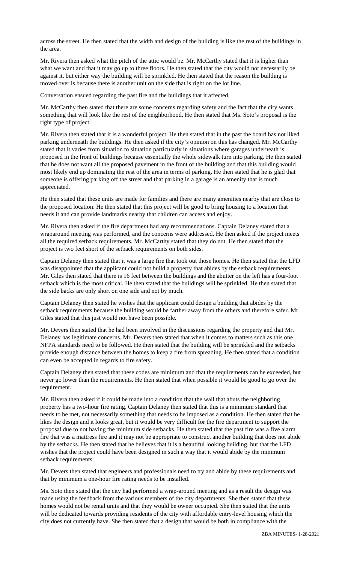across the street. He then stated that the width and design of the building is like the rest of the buildings in the area.

Mr. Rivera then asked what the pitch of the attic would be. Mr. McCarthy stated that it is higher than what we want and that it may go up to three floors. He then stated that the city would not necessarily be against it, but either way the building will be sprinkled. He then stated that the reason the building is moved over is because there is another unit on the side that is right on the lot line.

Conversation ensued regarding the past fire and the buildings that it affected.

Mr. McCarthy then stated that there are some concerns regarding safety and the fact that the city wants something that will look like the rest of the neighborhood. He then stated that Ms. Soto's proposal is the right type of project.

Mr. Rivera then stated that it is a wonderful project. He then stated that in the past the board has not liked parking underneath the buildings. He then asked if the city's opinion on this has changed. Mr. McCarthy stated that it varies from situation to situation particularly in situations where garages underneath is proposed in the front of buildings because essentially the whole sidewalk turn into parking. He then stated that he does not want all the proposed pavement in the front of the building and that this building would most likely end up dominating the rest of the area in terms of parking. He then stated that he is glad that someone is offering parking off the street and that parking in a garage is an amenity that is much appreciated.

He then stated that these units are made for families and there are many amenities nearby that are close to the proposed location. He then stated that this project will be good to bring housing to a location that needs it and can provide landmarks nearby that children can access and enjoy.

Mr. Rivera then asked if the fire department had any recommendations. Captain Delaney stated that a wraparound meeting was performed, and the concerns were addressed. He then asked if the project meets all the required setback requirements. Mr. McCarthy stated that they do not. He then stated that the project is two feet short of the setback requirements on both sides.

Captain Delaney then stated that it was a large fire that took out those homes. He then stated that the LFD was disappointed that the applicant could not build a property that abides by the setback requirements. Mr. Giles then stated that there is 16 feet between the buildings and the abutter on the left has a four-foot setback which is the most critical. He then stated that the buildings will be sprinkled. He then stated that the side backs are only short on one side and not by much.

Captain Delaney then stated he wishes that the applicant could design a building that abides by the setback requirements because the building would be farther away from the others and therefore safer. Mr. Giles stated that this just would not have been possible.

Mr. Devers then stated that he had been involved in the discussions regarding the property and that Mr. Delaney has legitimate concerns. Mr. Devers then stated that when it comes to matters such as this one NFPA standards need to be followed. He then stated that the building will be sprinkled and the setbacks provide enough distance between the homes to keep a fire from spreading. He then stated that a condition can even be accepted in regards to fire safety.

Captain Delaney then stated that these codes are minimum and that the requirements can be exceeded, but never go lower than the requirements. He then stated that when possible it would be good to go over the requirement.

Mr. Rivera then asked if it could be made into a condition that the wall that abuts the neighboring property has a two-hour fire rating. Captain Delaney then stated that this is a minimum standard that needs to be met, not necessarily something that needs to be imposed as a condition. He then stated that he likes the design and it looks great, but it would be very difficult for the fire department to support the proposal due to not having the minimum side setbacks. He then stated that the past fire was a five alarm fire that was a mattress fire and it may not be appropriate to construct another building that does not abide by the setbacks. He then stated that he believes that it is a beautiful looking building, but that the LFD wishes that the project could have been designed in such a way that it would abide by the minimum setback requirements.

Mr. Devers then stated that engineers and professionals need to try and abide by these requirements and that by minimum a one-hour fire rating needs to be installed.

Ms. Soto then stated that the city had performed a wrap-around meeting and as a result the design was made using the feedback from the various members of the city departments. She then stated that these homes would not be rental units and that they would be owner occupied. She then stated that the units will be dedicated towards providing residents of the city with affordable entry-level housing which the city does not currently have. She then stated that a design that would be both in compliance with the